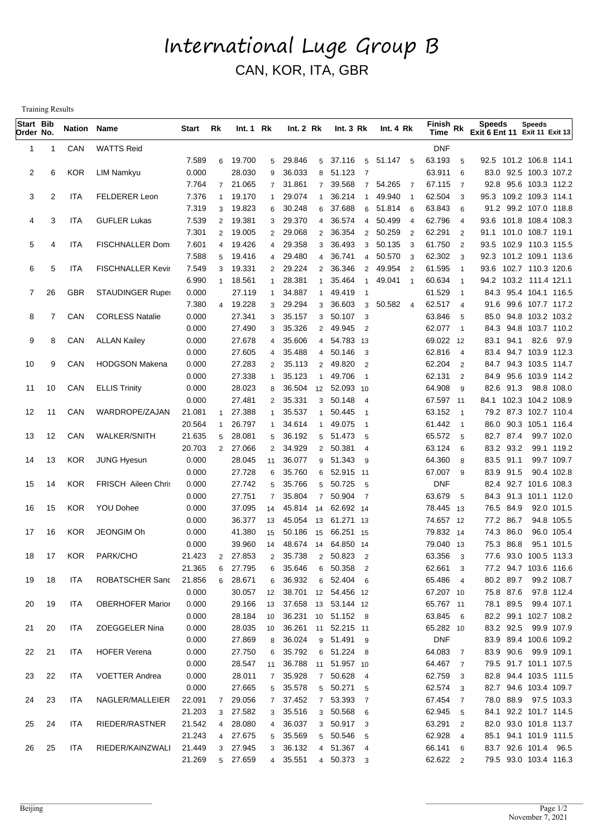## International Luge Group B CAN, KOR, ITA, GBR

Training Results

| Start Bib<br>Order No. |    | <b>Nation Name</b> |                          | Start            | Rk                  | Int.1 Rk         |                      | Int. 2 Rk        |                     | Int. $3 Rk$                       | Int. 4 Rk                                                 | $\overline{\mathsf{Fin}}$ ish Rk<br>Time |                                  | <b>Speeds</b><br>Exit 6 Ent 11 Exit 11 Exit 13   | Speeds                              |  |
|------------------------|----|--------------------|--------------------------|------------------|---------------------|------------------|----------------------|------------------|---------------------|-----------------------------------|-----------------------------------------------------------|------------------------------------------|----------------------------------|--------------------------------------------------|-------------------------------------|--|
| 1                      | 1  | CAN                | <b>WATTS Reid</b>        |                  |                     |                  |                      |                  |                     |                                   |                                                           | <b>DNF</b>                               |                                  |                                                  |                                     |  |
|                        |    |                    |                          | 7.589            | 6                   | 19.700           | 5                    | 29.846           |                     | 5 37.116                          | 5 51.147 5                                                | 63.193                                   | 5                                | 92.5 101.2 106.8 114.1                           |                                     |  |
| 2                      | 6  | <b>KOR</b>         | LIM Namkyu               | 0.000            |                     | 28.030           | 9                    | 36.033           | 8                   | 51.123<br>$\overline{7}$          |                                                           | 63.911                                   | 6                                |                                                  | 83.0 92.5 100.3 107.2               |  |
|                        |    |                    |                          | 7.764            |                     | 7 21.065         | 7 <sup>7</sup>       | 31.861           | $\overline{7}$      | 39.568<br>$\overline{7}$          | 54.265<br>$\overline{7}$                                  | 67.115                                   | $\overline{7}$                   |                                                  | 92.8 95.6 103.3 112.2               |  |
| 3                      | 2  | ITA                | <b>FELDERER Leon</b>     | 7.376            | 1                   | 19.170           | $\mathbf{1}$         | 29.074           | $\mathbf{1}$        | 36.214<br>-1                      | 49.940<br>- 1                                             | 62.504                                   | 3                                | 95.3 109.2 109.3 114.1                           |                                     |  |
|                        |    |                    |                          | 7.319            | 3                   | 19.823           | 6                    | 30.248           | 6                   | 37.688<br>6                       | 51.814<br>- 6                                             | 63.843                                   | 6                                |                                                  | 91.2 99.2 107.0 118.8               |  |
| 4                      | 3  | ITA                | <b>GUFLER Lukas</b>      | 7.539            | $\overline{2}$      | 19.381           | 3                    | 29.370           | $\overline{4}$      | 36.574<br>$\overline{4}$          | 50.499<br>$\overline{4}$                                  | 62.796                                   | $\overline{4}$                   | 93.6 101.8 108.4 108.3                           |                                     |  |
| 5                      | 4  | <b>ITA</b>         |                          | 7.301            | $\overline{2}$      | 19.005<br>19.426 | $\mathbf{2}$         | 29.068<br>29.358 | $\overline{2}$      | 36.354<br>36.493                  | 2 50.259<br>$\overline{\phantom{0}}^2$<br>3 50.135<br>- 3 | 62.291<br>61.750                         | $\overline{2}$<br>$\overline{2}$ | 91.1 101.0 108.7 119.1<br>93.5 102.9 110.3 115.5 |                                     |  |
|                        |    |                    | <b>FISCHNALLER Dom</b>   | 7.601<br>7.588   | 4<br>5              | 19.416           | 4<br>4               | 29.480           | 3<br>$\overline{4}$ | 36.741                            | 4 50.570 3                                                | 62.302                                   | -3                               | 92.3 101.2 109.1 113.6                           |                                     |  |
| 6                      | 5  | ITA                | <b>FISCHNALLER Kevir</b> | 7.549            | 3                   | 19.331           | $\overline{2}$       | 29.224           | $\overline{2}$      | 36.346<br>$\overline{2}$          | 49.954 2                                                  | 61.595                                   | $\overline{\phantom{1}}$         | 93.6 102.7 110.3 120.6                           |                                     |  |
|                        |    |                    |                          | 6.990            | 1                   | 18.561           | $\mathbf{1}$         | 28.381           | $\mathbf{1}$        | 35.464<br>$\overline{1}$          | 49.041<br>$\overline{1}$                                  | 60.634                                   | $\overline{1}$                   | 94.2 103.2 111.4 121.1                           |                                     |  |
| 7                      | 26 | <b>GBR</b>         | <b>STAUDINGER Ruper</b>  | 0.000            |                     | 27.119           | $\mathbf{1}$         | 34.887           | $\mathbf{1}$        | 49.419                            |                                                           | 61.529                                   | $\overline{\phantom{0}}$ 1       |                                                  | 84.3 95.4 104.1 116.5               |  |
|                        |    |                    |                          | 7.380            | 4                   | 19.228           | 3                    | 29.294           | 3                   | 36.603<br>3                       | 50.582 4                                                  | 62.517 4                                 |                                  |                                                  | 91.6 99.6 107.7 117.2               |  |
| 8                      |    | CAN                | <b>CORLESS Natalie</b>   | 0.000            |                     | 27.341           | 3                    | 35.157           | 3                   | 50.107<br>3                       |                                                           | 63.846                                   | 5                                |                                                  | 85.0 94.8 103.2 103.2               |  |
|                        |    |                    |                          | 0.000            |                     | 27.490           | 3                    | 35.326           | $\overline{2}$      | 49.945<br>$\overline{2}$          |                                                           | 62.077 1                                 |                                  |                                                  | 84.3 94.8 103.7 110.2               |  |
| 9                      | 8  | CAN                | <b>ALLAN Kailey</b>      | 0.000            |                     | 27.678           | $\overline{4}$       | 35.606           | $\overline{4}$      | 54.783 13                         |                                                           | 69.022 12                                |                                  | 83.1 94.1                                        | 82.6 97.9                           |  |
|                        |    |                    |                          | 0.000            |                     | 27.605           | $\overline{4}$       | 35.488           | $\overline{4}$      | 50.146<br>-3                      |                                                           | 62.816                                   | $\overline{4}$                   |                                                  | 83.4 94.7 103.9 112.3               |  |
| 10                     | 9  | CAN                | <b>HODGSON Makena</b>    | 0.000            |                     | 27.283           | $\overline{2}$       | 35.113           | $\overline{2}$      | 49.820<br>$\overline{2}$          |                                                           | 62.204                                   | $\overline{2}$                   |                                                  | 84.7 94.3 103.5 114.7               |  |
|                        |    |                    |                          | 0.000            |                     | 27.338           | $\mathbf{1}$         | 35.123           | $\mathbf{1}$        | 49.706<br>- 1                     |                                                           | 62.131                                   | 2                                | 84.9 95.6                                        | 103.9 114.2                         |  |
| 11                     | 10 | CAN                | <b>ELLIS Trinity</b>     | 0.000            |                     | 28.023           | 8                    | 36.504           | 12                  | 52.093 10                         |                                                           | 64.908                                   | 9                                | 82.6 91.3                                        | 98.8 108.0                          |  |
|                        |    |                    |                          | 0.000            |                     | 27.481           | $2^{\circ}$          | 35.331           | 3                   | 50.148<br>-4                      |                                                           | 67.597 11                                |                                  | 84.1 102.3 104.2 108.9                           |                                     |  |
| 12                     | 11 | CAN                | WARDROPE/ZAJAN           | 21.081           | 1                   | 27.388           | $\mathbf{1}$         | 35.537           | $\mathbf{1}$        | 50.445<br>- 1                     |                                                           | 63.152                                   | $\overline{\phantom{1}}$         |                                                  | 79.2 87.3 102.7 110.4               |  |
|                        |    |                    |                          | 20.564           |                     | 26.797           | $\mathbf{1}$         | 34.614           | $\mathbf{1}$        | 49.075<br>- 1                     |                                                           | 61.442                                   | $\overline{\phantom{1}}$         |                                                  | 86.0 90.3 105.1 116.4               |  |
| 13                     | 12 | CAN                | <b>WALKER/SNITH</b>      | 21.635<br>20.703 | 5<br>$\overline{2}$ | 28.081<br>27.066 | 5                    | 36.192<br>34.929 | 5                   | 51.473<br>- 5<br>50.381           |                                                           | 65.572<br>63.124                         | 5                                | 82.7 87.4<br>83.2 93.2                           | 99.7 102.0<br>99.1 119.2            |  |
| 14                     | 13 | <b>KOR</b>         | JUNG Hyesun              | 0.000            |                     | 28.045           | $\overline{2}$<br>11 | 36.077           | $\overline{2}$<br>9 | $\overline{4}$<br>51.343<br>-9    |                                                           | 64.360                                   | 6<br>8                           | 83.5 91.1                                        | 99.7 109.7                          |  |
|                        |    |                    |                          | 0.000            |                     | 27.728           | 6                    | 35.760           | 6                   | 52.915 11                         |                                                           | 67.007                                   | 9                                | 83.9<br>91.5                                     | 90.4 102.8                          |  |
| 15                     | 14 | <b>KOR</b>         | FRISCH Aileen Chris      | 0.000            |                     | 27.742           | 5                    | 35.766           | 5                   | 50.725 5                          |                                                           | <b>DNF</b>                               |                                  |                                                  | 82.4 92.7 101.6 108.3               |  |
|                        |    |                    |                          | 0.000            |                     | 27.751           | $\overline{7}$       | 35.804           | $\overline{7}$      | 50.904<br>$\overline{7}$          |                                                           | 63.679                                   | 5                                | 84.3 91.3                                        | 101.1 112.0                         |  |
| 16                     | 15 | <b>KOR</b>         | YOU Dohee                | 0.000            |                     | 37.095           | 14                   | 45.814 14        |                     | 62.692 14                         |                                                           | 78.445 13                                |                                  | 76.5 84.9                                        | 92.0 101.5                          |  |
|                        |    |                    |                          | 0.000            |                     | 36.377           | 13                   | 45.054           | 13                  | 61.271 13                         |                                                           | 74.657 12                                |                                  | 77.2 86.7                                        | 94.8 105.5                          |  |
| 17                     | 16 | <b>KOR</b>         | <b>JEONGIM Oh</b>        | 0.000            |                     | 41.380           | 15                   | 50.186           | 15                  | 66.251 15                         |                                                           | 79.832 14                                |                                  | 74.3 86.0                                        | 96.0 105.4                          |  |
|                        |    |                    |                          | 0.000            |                     | 39.960           | 14                   | 48.674           | 14                  | 64.850 14                         |                                                           | 79.040 13                                |                                  | 75.3 86.8                                        | 95.1 101.5                          |  |
| 18                     | 17 | <b>KOR</b>         | PARK/CHO                 | 21.423           | 2                   | 27.853           | $\overline{2}$       | 35.738           | $\mathbf{2}$        | 50.823<br>$\overline{2}$          |                                                           | 63.356                                   | 3                                |                                                  | 77.6 93.0 100.5 113.3               |  |
|                        |    |                    |                          | 21.365           | 6                   | 27.795           | 6                    | 35.646           | 6                   | 50.358 2                          |                                                           | 62.661 3                                 |                                  |                                                  | 77.2 94.7 103.6 116.6               |  |
| 19                     | 18 | ITA                | ROBATSCHER Sanc          | 21.856           | 6                   | 28.671           | 6                    | 36.932           |                     | 6 52.404 6                        |                                                           | 65.486 4                                 |                                  | 80.2 89.7                                        | 99.2 108.7                          |  |
|                        |    |                    |                          | 0.000            |                     | 30.057           | 12                   |                  |                     | 38.701 12 54.456 12               |                                                           | 67.207 10                                |                                  | 75.8 87.6                                        | 97.8 112.4                          |  |
| 20                     | 19 | <b>ITA</b>         | <b>OBERHOFER Marior</b>  | 0.000            |                     | 29.166           | 13                   |                  |                     | 37.658 13 53.144 12               |                                                           | 65.767 11                                |                                  | 78.1 89.5                                        | 99.4 107.1                          |  |
|                        |    |                    |                          | 0.000            |                     | 28.184           | 10                   |                  |                     | 36.231 10 51.152 8                |                                                           | 63.845 6                                 |                                  |                                                  | 82.2 99.1 102.7 108.2               |  |
| 21                     | 20 | ITA                | ZOEGGELER Nina           | 0.000            |                     | 28.035           | 10 <sup>1</sup>      |                  |                     | 36.261 11 52.215 11               |                                                           | 65.282 10                                |                                  | 83.2 92.5                                        | 99.9 107.9                          |  |
|                        |    |                    | <b>HOFER Verena</b>      | 0.000            |                     | 27.869<br>27.750 | 8                    | 36.024           |                     | 9 51.491 9                        |                                                           | <b>DNF</b>                               |                                  | 83.9 90.6                                        | 83.9 89.4 100.6 109.2               |  |
| 22                     | 21 | ITA                |                          | 0.000<br>0.000   |                     | 28.547           | 6                    | 35.792           |                     | 6 51.224 8<br>36.788 11 51.957 10 |                                                           | 64.083<br>64.467 7                       | $\overline{7}$                   |                                                  | 99.9 109.1<br>79.5 91.7 101.1 107.5 |  |
| 23                     | 22 | ITA                | <b>VOETTER Andrea</b>    | 0.000            |                     | 28.011           | 11<br>$7^{\circ}$    | 35.928           |                     | 7 50.628 4                        |                                                           | 62.759 3                                 |                                  |                                                  | 82.8 94.4 103.5 111.5               |  |
|                        |    |                    |                          | 0.000            |                     | 27.665           | 5 <sub>5</sub>       | 35.578           |                     | 5 50.271 5                        |                                                           | 62.574 3                                 |                                  |                                                  | 82.7 94.6 103.4 109.7               |  |
| 24                     | 23 | ITA                | NAGLER/MALLEIER          | 22.091           | $\overline{7}$      | 29.056           |                      | 7 37.452         |                     | 7 53.393 7                        |                                                           | 67.454 7                                 |                                  | 78.0 88.9                                        | 97.5 103.3                          |  |
|                        |    |                    |                          | 21.203           | 3                   | 27.582           |                      | 3 35.516         |                     | 3 50.568 6                        |                                                           | 62.945 5                                 |                                  |                                                  | 84.1 92.2 101.7 114.5               |  |
| 25                     | 24 | ITA                | RIEDER/RASTNER           | 21.542           | 4                   | 28.080           | $\overline{4}$       | 36.037           |                     | 3 50.917 3                        |                                                           | 63.291 2                                 |                                  |                                                  | 82.0 93.0 101.8 113.7               |  |
|                        |    |                    |                          | 21.243           | 4                   | 27.675           | 5 <sup>5</sup>       | 35.569           |                     | 5 50.546 5                        |                                                           | 62.928 4                                 |                                  |                                                  | 85.1 94.1 101.9 111.5               |  |
| 26                     | 25 | ITA                | RIEDER/KAINZWALI         | 21.449           | 3                   | 27.945           | 3 <sup>1</sup>       | 36.132           |                     | 4 51.367 4                        |                                                           | 66.141 6                                 |                                  |                                                  | 83.7 92.6 101.4 96.5                |  |
|                        |    |                    |                          | 21.269           |                     | 5 27.659         |                      | 4 35.551         |                     | 4 50.373 3                        |                                                           | 62.622 2                                 |                                  |                                                  | 79.5 93.0 103.4 116.3               |  |
|                        |    |                    |                          |                  |                     |                  |                      |                  |                     |                                   |                                                           |                                          |                                  |                                                  |                                     |  |